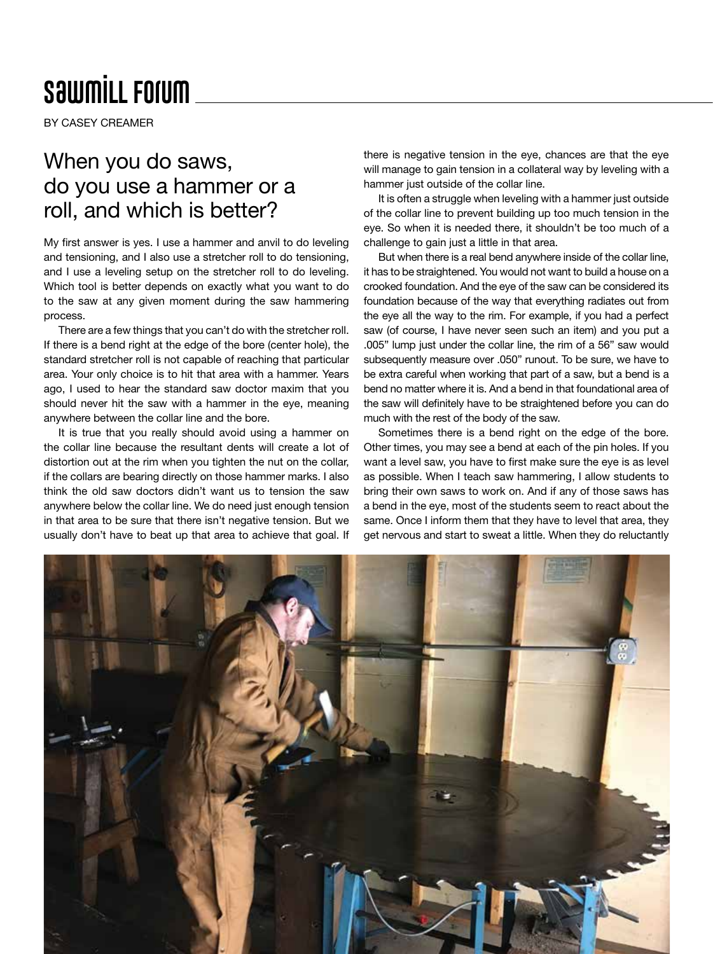## **SawmiLL Forum**

BY CASEY CREAMER

## When you do saws, do you use a hammer or a roll, and which is better?

My first answer is yes. I use a hammer and anvil to do leveling and tensioning, and I also use a stretcher roll to do tensioning, and I use a leveling setup on the stretcher roll to do leveling. Which tool is better depends on exactly what you want to do to the saw at any given moment during the saw hammering process.

There are a few things that you can't do with the stretcher roll. If there is a bend right at the edge of the bore (center hole), the standard stretcher roll is not capable of reaching that particular area. Your only choice is to hit that area with a hammer. Years ago, I used to hear the standard saw doctor maxim that you should never hit the saw with a hammer in the eye, meaning anywhere between the collar line and the bore.

It is true that you really should avoid using a hammer on the collar line because the resultant dents will create a lot of distortion out at the rim when you tighten the nut on the collar, if the collars are bearing directly on those hammer marks. I also think the old saw doctors didn't want us to tension the saw anywhere below the collar line. We do need just enough tension in that area to be sure that there isn't negative tension. But we usually don't have to beat up that area to achieve that goal. If

there is negative tension in the eye, chances are that the eye will manage to gain tension in a collateral way by leveling with a hammer just outside of the collar line.

It is often a struggle when leveling with a hammer just outside of the collar line to prevent building up too much tension in the eye. So when it is needed there, it shouldn't be too much of a challenge to gain just a little in that area.

But when there is a real bend anywhere inside of the collar line, it has to be straightened. You would not want to build a house on a crooked foundation. And the eye of the saw can be considered its foundation because of the way that everything radiates out from the eye all the way to the rim. For example, if you had a perfect saw (of course, I have never seen such an item) and you put a .005" lump just under the collar line, the rim of a 56" saw would subsequently measure over .050" runout. To be sure, we have to be extra careful when working that part of a saw, but a bend is a bend no matter where it is. And a bend in that foundational area of the saw will definitely have to be straightened before you can do much with the rest of the body of the saw.

Sometimes there is a bend right on the edge of the bore. Other times, you may see a bend at each of the pin holes. If you want a level saw, you have to first make sure the eye is as level as possible. When I teach saw hammering, I allow students to bring their own saws to work on. And if any of those saws has a bend in the eye, most of the students seem to react about the same. Once I inform them that they have to level that area, they get nervous and start to sweat a little. When they do reluctantly